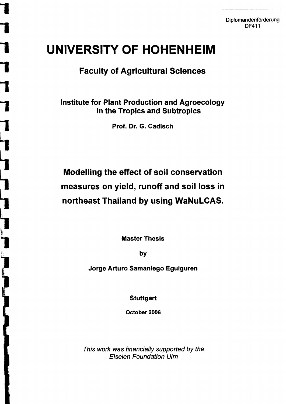# **UNIVERSITY OF HOHENHEIM**

### **Faculty of Agricultural Sciences**

### Institute for Plant Production and Agroecology in the Tropics and Subtropics

Prof. Dr. G. Cadisch

## Modelling the effect of soil conservation measures on yield, runoff and soil loss in northeast Thailand by using WaNuLCAS.

Master Thesis

by

Jorge Arturo Samaniego Eguiguren

**Stuttgart** 

October 2006

This work was financially supported by the **Eiselen Foundation Ulm**